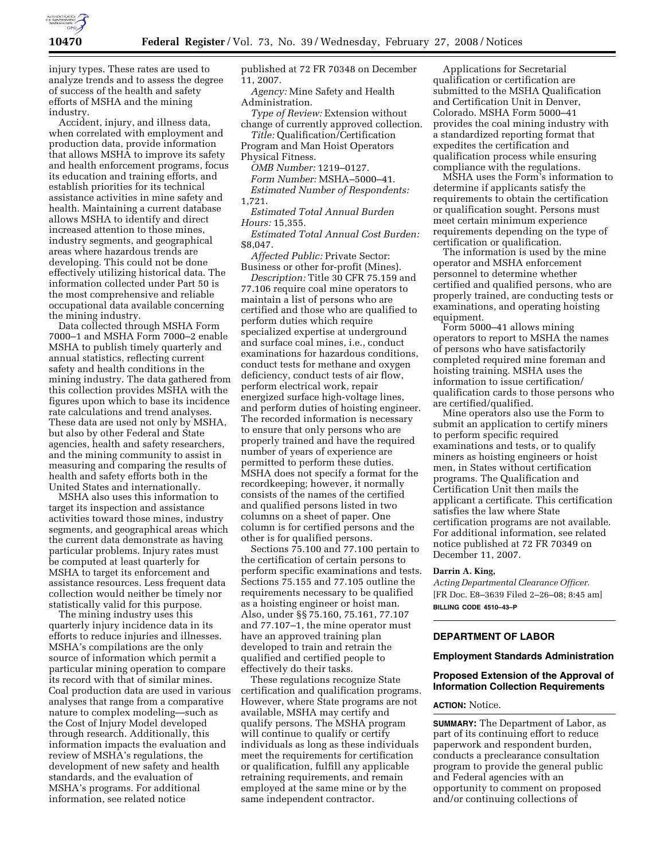

injury types. These rates are used to analyze trends and to assess the degree of success of the health and safety efforts of MSHA and the mining industry.

Accident, injury, and illness data, when correlated with employment and production data, provide information that allows MSHA to improve its safety and health enforcement programs, focus its education and training efforts, and establish priorities for its technical assistance activities in mine safety and health. Maintaining a current database allows MSHA to identify and direct increased attention to those mines, industry segments, and geographical areas where hazardous trends are developing. This could not be done effectively utilizing historical data. The information collected under Part 50 is the most comprehensive and reliable occupational data available concerning the mining industry.

Data collected through MSHA Form 7000–1 and MSHA Form 7000–2 enable MSHA to publish timely quarterly and annual statistics, reflecting current safety and health conditions in the mining industry. The data gathered from this collection provides MSHA with the figures upon which to base its incidence rate calculations and trend analyses. These data are used not only by MSHA, but also by other Federal and State agencies, health and safety researchers, and the mining community to assist in measuring and comparing the results of health and safety efforts both in the United States and internationally.

MSHA also uses this information to target its inspection and assistance activities toward those mines, industry segments, and geographical areas which the current data demonstrate as having particular problems. Injury rates must be computed at least quarterly for MSHA to target its enforcement and assistance resources. Less frequent data collection would neither be timely nor statistically valid for this purpose.

The mining industry uses this quarterly injury incidence data in its efforts to reduce injuries and illnesses. MSHA's compilations are the only source of information which permit a particular mining operation to compare its record with that of similar mines. Coal production data are used in various analyses that range from a comparative nature to complex modeling—such as the Cost of Injury Model developed through research. Additionally, this information impacts the evaluation and review of MSHA's regulations, the development of new safety and health standards, and the evaluation of MSHA's programs. For additional information, see related notice

published at 72 FR 70348 on December 11, 2007.

*Agency:* Mine Safety and Health Administration.

*Type of Review:* Extension without change of currently approved collection.

*Title:* Qualification/Certification Program and Man Hoist Operators

Physical Fitness.

*OMB Number:* 1219–0127. *Form Number:* MSHA–5000–41. *Estimated Number of Respondents:*  1,721.

*Estimated Total Annual Burden Hours:* 15,355.

*Estimated Total Annual Cost Burden:*  \$8,047.

*Affected Public:* Private Sector: Business or other for-profit (Mines).

*Description:* Title 30 CFR 75.159 and 77.106 require coal mine operators to maintain a list of persons who are certified and those who are qualified to perform duties which require specialized expertise at underground and surface coal mines, i.e., conduct examinations for hazardous conditions, conduct tests for methane and oxygen deficiency, conduct tests of air flow, perform electrical work, repair energized surface high-voltage lines, and perform duties of hoisting engineer. The recorded information is necessary to ensure that only persons who are properly trained and have the required number of years of experience are permitted to perform these duties. MSHA does not specify a format for the recordkeeping; however, it normally consists of the names of the certified and qualified persons listed in two columns on a sheet of paper. One column is for certified persons and the other is for qualified persons.

Sections 75.100 and 77.100 pertain to the certification of certain persons to perform specific examinations and tests. Sections 75.155 and 77.105 outline the requirements necessary to be qualified as a hoisting engineer or hoist man. Also, under §§ 75.160, 75.161, 77.107 and 77.107–1, the mine operator must have an approved training plan developed to train and retrain the qualified and certified people to effectively do their tasks.

These regulations recognize State certification and qualification programs. However, where State programs are not available, MSHA may certify and qualify persons. The MSHA program will continue to qualify or certify individuals as long as these individuals meet the requirements for certification or qualification, fulfill any applicable retraining requirements, and remain employed at the same mine or by the same independent contractor.

Applications for Secretarial qualification or certification are submitted to the MSHA Qualification and Certification Unit in Denver, Colorado. MSHA Form 5000–41 provides the coal mining industry with a standardized reporting format that expedites the certification and qualification process while ensuring compliance with the regulations.

MSHA uses the Form's information to determine if applicants satisfy the requirements to obtain the certification or qualification sought. Persons must meet certain minimum experience requirements depending on the type of certification or qualification.

The information is used by the mine operator and MSHA enforcement personnel to determine whether certified and qualified persons, who are properly trained, are conducting tests or examinations, and operating hoisting equipment.

Form 5000–41 allows mining operators to report to MSHA the names of persons who have satisfactorily completed required mine foreman and hoisting training. MSHA uses the information to issue certification/ qualification cards to those persons who are certified/qualified.

Mine operators also use the Form to submit an application to certify miners to perform specific required examinations and tests, or to qualify miners as hoisting engineers or hoist men, in States without certification programs. The Qualification and Certification Unit then mails the applicant a certificate. This certification satisfies the law where State certification programs are not available. For additional information, see related notice published at 72 FR 70349 on December 11, 2007.

### **Darrin A. King,**

*Acting Departmental Clearance Officer.*  [FR Doc. E8–3639 Filed 2–26–08; 8:45 am] **BILLING CODE 4510–43–P** 

## **DEPARTMENT OF LABOR**

### **Employment Standards Administration**

## **Proposed Extension of the Approval of Information Collection Requirements**

## **ACTION:** Notice.

**SUMMARY:** The Department of Labor, as part of its continuing effort to reduce paperwork and respondent burden, conducts a preclearance consultation program to provide the general public and Federal agencies with an opportunity to comment on proposed and/or continuing collections of